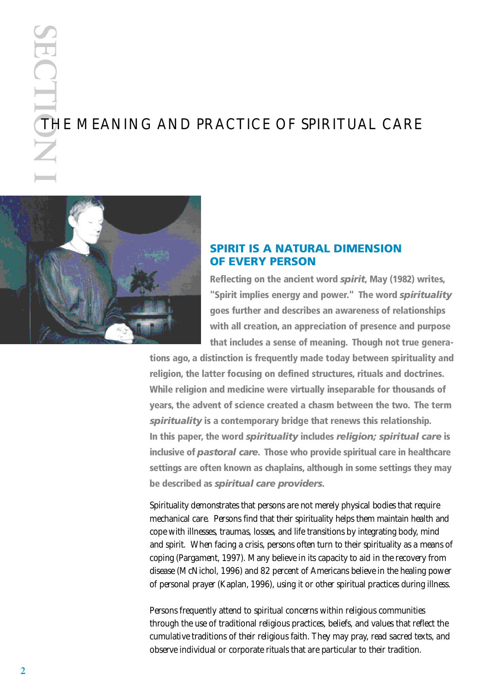**BCT** 

# THE MEANING AND PRACTICE OF SPIRITUAL CARE



#### **SPIRIT IS A NATURAL DIMENSION OF EVERY PERSON**

**Reflecting on the ancient word** *spirit***, May (1982) writes,** "Spirit implies energy and power." The word *spirituality* goes further and describes an awareness of relationships with all creation, an appreciation of presence and purpose **that includes a sense of meaning. Though not true genera-**

**tions ago, a distinction is frequently made today between spirituality and** religion, the latter focusing on defined structures, rituals and doctrines. **While religion and medicine were virtually inseparable for thousands of y e a rs , the advent of science created a chasm between the two. The term** *spirituality* is a contemporary bridge that renews this relationship. In this paper, the word *spirituality* includes *religion; spiritual care* is **inclusive of** *pastoral care***. Those who provide spiritual care in healthcare settings are often known as chaplains, although in some settings they may be described as** *spiritual care providers*.

Spirituality demonstrates that persons are not merely physical bodies that require mechanical care. Persons find that their spirituality helps them maintain health and cope with illnesses, traumas, losses, and life transitions by integrating body, mind and spirit. When facing a crisis, persons often turn to their spirituality as a means of coping (Pargament, 1997). Many believe in its capacity to aid in the recovery from disease (McNichol, 1996) and 82 percent of Americans believe in the healing power of personal prayer (Kaplan, 1996), using it or other spiritual practices during illness.

Persons frequently attend to spiritual concerns within religious communities through the use of traditional religious practices, beliefs, and values that reflect the cumulative traditions of their religious faith. They may pray, read sacred texts, and observe individual or corporate rituals that are particular to their tradition.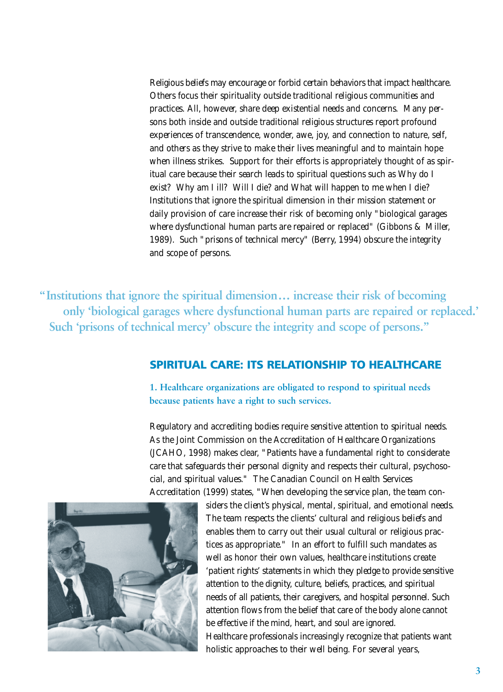Religious beliefs may encourage or forbid certain behaviors that impact healthcare. Others focus their spirituality outside traditional religious communities and practices. All, however, share deep existential needs and concerns. Many persons both inside and outside traditional religious structures report profound experiences of transcendence, wonder, awe, joy, and connection to nature, self, and others as they strive to make their lives meaningful and to maintain hope when illness strikes. Support for their efforts is appropriately thought of as spiritual care because their search leads to spiritual questions such as Why do I exist? Why am I ill? Will I die? and What will happen to me when I die? Institutions that ignore the spiritual dimension in their mission statement or daily provision of care increase their risk of becoming only "biological garages where dysfunctional human parts are repaired or replaced" (Gibbons & Miller, 1989). Such "prisons of technical mercy" (Berry, 1994) obscure the integrity and scope of persons.

"Institutions that ignore the spiritual dimension... increase their risk of becoming only 'biological garages where dysfunctional human parts are repaired or replaced.' **Such 'prisons of technical mercy' obscure the integrity and scope of persons."**

### **SPIRITUAL CARE: ITS RELATIONSHIP TO HEALTHCARE**

**1. Healthcare organizations are obligated to respond to spiritual needs because patients have a right to such services.**

Regulatory and accrediting bodies require sensitive attention to spiritual needs. As the Joint Commission on the Accreditation of Healthcare Organizations (JCAHO, 1998) makes clear, "Patients have a fundamental right to considerate care that safeguards their personal dignity and respects their cultural, psychosocial, and spiritual values." The Canadian Council on Health Services Accreditation (1999) states, "When developing the service plan, the team con-



siders the client's physical, mental, spiritual, and emotional needs. The team respects the clients' cultural and religious beliefs and enables them to carry out their usual cultural or religious practices as appropriate." In an effort to fulfill such mandates as well as honor their own values, healthcare institutions create 'patient rights' statements in which they pledge to provide sensitive attention to the dignity, culture, beliefs, practices, and spiritual needs of all patients, their caregivers, and hospital personnel. Such attention flows from the belief that care of the body alone cannot be effective if the mind, heart, and soul are ignored. Healthcare professionals increasingly recognize that patients want holistic approaches to their well being. For several years,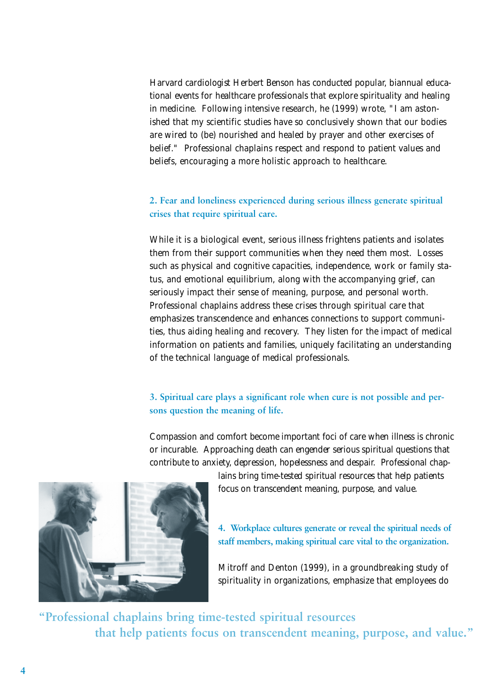Harvard cardiologist Herbert Benson has conducted popular, biannual educational events for healthcare professionals that explore spirituality and healing in medicine. Following intensive research, he (1999) wrote, "I am astonished that my scientific studies have so conclusively shown that our bodies are wired to (be) nourished and healed by prayer and other exercises of belief." Professional chaplains respect and respond to patient values and beliefs, encouraging a more holistic approach to healthcare.

#### **2. Fear and loneliness experienced during serious illness generate spiritual crises that require spiritual care.**

While it is a biological event, serious illness frightens patients and isolates them from their support communities when they need them most. Losses such as physical and cognitive capacities, independence, work or family status, and emotional equilibrium, along with the accompanying grief, can seriously impact their sense of meaning, purpose, and personal worth. Professional chaplains address these crises through spiritual care that emphasizes transcendence and enhances connections to support communities, thus aiding healing and recovery. They listen for the impact of medical information on patients and families, uniquely facilitating an understanding of the technical language of medical professionals.

#### **3. Spiritual care plays a significant role when cure is not possible and persons question the meaning of life.**

Compassion and comfort become important foci of care when illness is chronic or incurable. Approaching death can engender serious spiritual questions that contribute to anxiety, depression, hopelessness and despair. Professional chap-



lains bring time-tested spiritual resources that help patients focus on transcendent meaning, purpose, and value.

**4. Workplace cultures generate or reveal the spiritual needs of** staff members, making spiritual care vital to the organization.

Mitroff and Denton (1999), in a groundbreaking study of spirituality in organizations, emphasize that employees do

**"Professional chaplains bring time-tested spiritual resources that help patients focus on transcendent meaning, purpose, and value."**